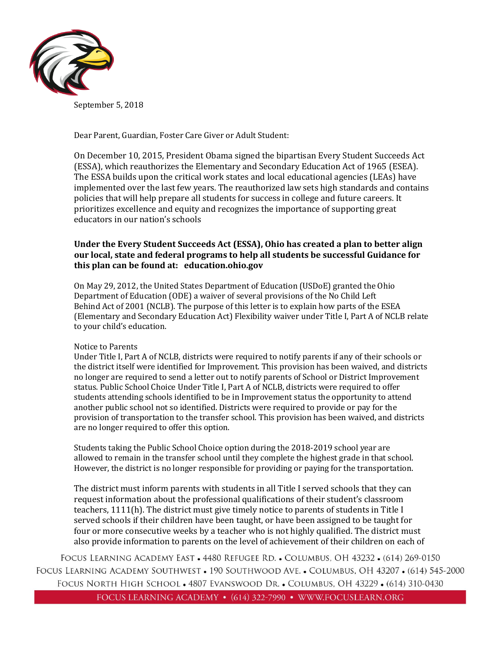

September 5, 2018

Dear Parent, Guardian, Foster Care Giver or Adult Student:

On December 10, 2015, President Obama signed the bipartisan Every Student Succeeds Act (ESSA), which reauthorizes the Elementary and Secondary Education Act of 1965 (ESEA). The ESSA builds upon the critical work states and local educational agencies (LEAs) have implemented over the last few years. The reauthorized law sets high standards and contains policies that will help prepare all students for success in college and future careers. It prioritizes excellence and equity and recognizes the importance of supporting great educators in our nation's schools

## **Under the Every Student Succeeds Act (ESSA), Ohio has created a plan to better align our local, state and federal programs to help all students be successful Guidance for this plan can be found at: education.ohio.gov**

On May 29, 2012, the United States Department of Education (USDoE) granted the Ohio Department of Education (ODE) a waiver of several provisions of the No Child Left Behind Act of 2001 (NCLB). The purpose of this letter is to explain how parts of the ESEA (Elementary and Secondary Education Act) Flexibility waiver under Title I, Part A of NCLB relate to your child's education.

### Notice to Parents

Under Title I, Part A of NCLB, districts were required to notify parents if any of their schools or the district itself were identified for Improvement. This provision has been waived, and districts no longer are required to send a letter out to notify parents of School or District Improvement status. Public School Choice Under Title I, Part A of NCLB, districts were required to offer students attending schools identified to be in Improvement status the opportunity to attend another public school not so identified. Districts were required to provide or pay for the provision of transportation to the transfer school. This provision has been waived, and districts are no longer required to offer this option.

Students taking the Public School Choice option during the 2018-2019 school year are allowed to remain in the transfer school until they complete the highest grade in that school. However, the district is no longer responsible for providing or paying for the transportation.

The district must inform parents with students in all Title I served schools that they can request information about the professional qualifications of their student's classroom teachers, 1111(h). The district must give timely notice to parents of students in Title I served schools if their children have been taught, or have been assigned to be taught for four or more consecutive weeks by a teacher who is not highly qualified. The district must also provide information to parents on the level of achievement of their children on each of

FOCUS LEARNING ACADEMY EAST • 4480 REFUGEE RD. • COLUMBUS, OH 43232 • (614) 269-0150 FOCUS LEARNING ACADEMY SOUTHWEST • 190 SOUTHWOOD AVE. • COLUMBUS, OH 43207 • (614) 545-2000 FOCUS NORTH HIGH SCHOOL . 4807 EVANSWOOD DR. . COLUMBUS, OH 43229 . (614) 310-0430 FOCUS LEARNING ACADEMY • (614) 322-7990 • WWW.FOCUSLEARN.ORG